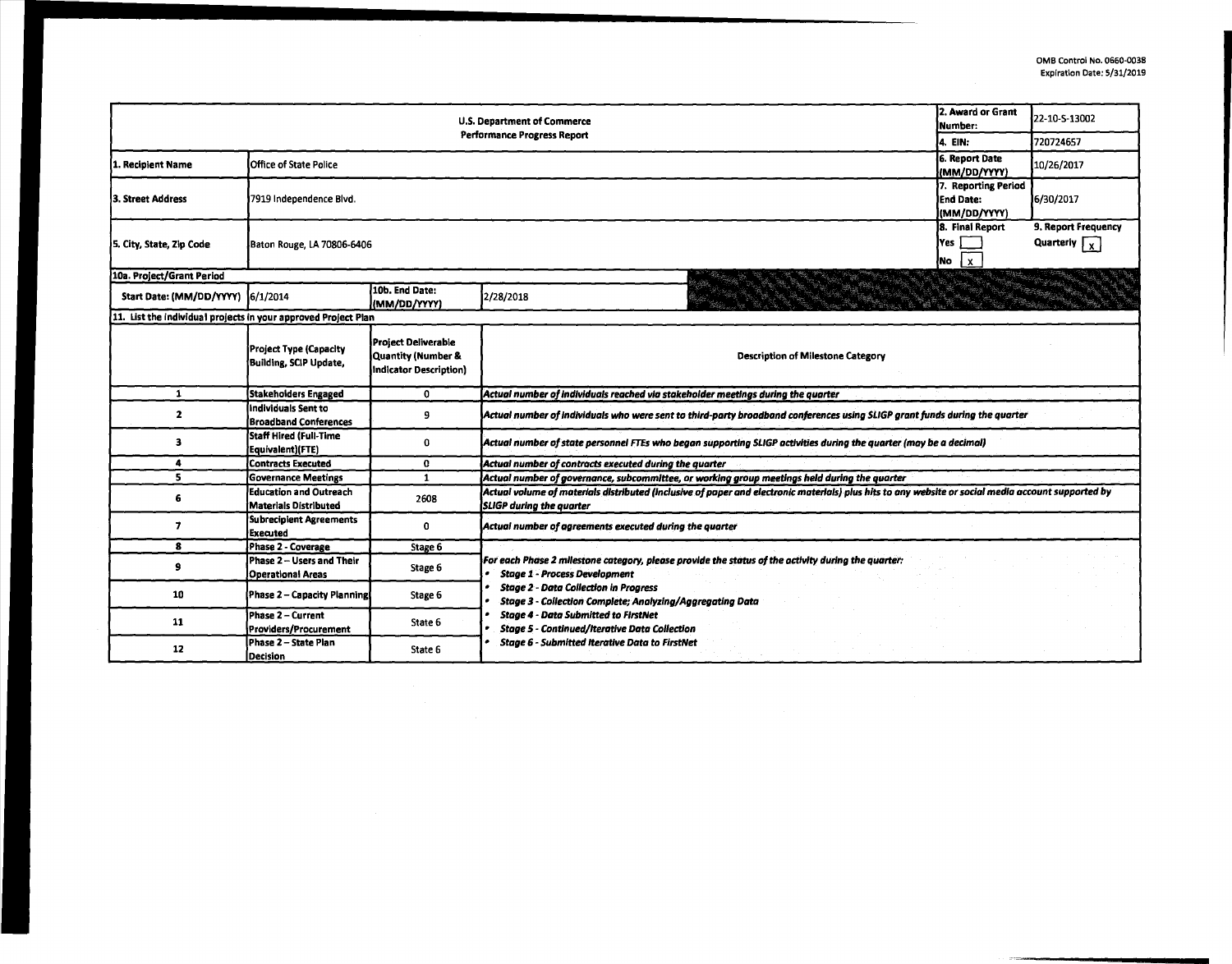| 2. Award or Grant<br><b>U.S. Department of Commerce</b><br>Number:<br><b>Performance Progress Report</b> |                                                               |                                                                     |                                                                                                                                                                                                                                                         |                                                         | 22-10-S-13002                                     |  |  |  |  |
|----------------------------------------------------------------------------------------------------------|---------------------------------------------------------------|---------------------------------------------------------------------|---------------------------------------------------------------------------------------------------------------------------------------------------------------------------------------------------------------------------------------------------------|---------------------------------------------------------|---------------------------------------------------|--|--|--|--|
|                                                                                                          | l4. EIN:                                                      | 720724657                                                           |                                                                                                                                                                                                                                                         |                                                         |                                                   |  |  |  |  |
| 1. Recipient Name                                                                                        | <b>Office of State Police</b>                                 |                                                                     |                                                                                                                                                                                                                                                         | <b>6. Report Date</b><br>(MM/DD/YYYY)                   | 10/26/2017                                        |  |  |  |  |
| 13. Street Address                                                                                       | 7919 Independence Blvd.                                       |                                                                     |                                                                                                                                                                                                                                                         | 7. Reporting Period<br><b>End Date:</b><br>(MM/DD/YYYY) | 6/30/2017                                         |  |  |  |  |
| 5. City, State, Zip Code                                                                                 | Baton Rouge, LA 70806-6406                                    |                                                                     |                                                                                                                                                                                                                                                         | 8. Final Report<br> Yes  <br>$\mathbf{x}$<br>No         | 9. Report Frequency<br>Quarterly $\Gamma_{\rm X}$ |  |  |  |  |
| 10a. Project/Grant Period                                                                                |                                                               |                                                                     |                                                                                                                                                                                                                                                         |                                                         |                                                   |  |  |  |  |
| Start Date: (MM/DD/YYYY) 6/1/2014                                                                        |                                                               | 10b. End Date:<br>(MM/DD/YYYY)                                      | 2/28/2018                                                                                                                                                                                                                                               |                                                         |                                                   |  |  |  |  |
| 11. List the individual projects in your approved Project Plan                                           |                                                               |                                                                     |                                                                                                                                                                                                                                                         |                                                         |                                                   |  |  |  |  |
|                                                                                                          | Project Type (Capacity<br>Building, SCIP Update,              | Project Deliverable<br>Quantity (Number &<br>Indicator Description) | <b>Description of Milestone Category</b>                                                                                                                                                                                                                |                                                         |                                                   |  |  |  |  |
| 1                                                                                                        | <b>Stakeholders Engaged</b>                                   | 0                                                                   | Actual number of individuals reached via stakeholder meetings during the quarter                                                                                                                                                                        |                                                         |                                                   |  |  |  |  |
| $\mathbf{z}$                                                                                             | Individuals Sent to<br><b>Broadband Conferences</b>           | 9                                                                   | Actual number of individuals who were sent to third-party broadband conferences using SLIGP grant funds during the quarter                                                                                                                              |                                                         |                                                   |  |  |  |  |
| з                                                                                                        | Staff Hired (Full-Time<br>Equivalent)(FTE)                    | 0                                                                   | Actual number of state personnel FTEs who began supporting SLIGP activities during the quarter (may be a decimal)                                                                                                                                       |                                                         |                                                   |  |  |  |  |
| 4                                                                                                        | <b>Contracts Executed</b>                                     | $\mathbf{o}$                                                        | Actual number of contracts executed during the quarter                                                                                                                                                                                                  |                                                         |                                                   |  |  |  |  |
| 5.                                                                                                       | <b>Governance Meetings</b>                                    | 1                                                                   | Actual number of governance, subcommittee, or working group meetings held during the quarter                                                                                                                                                            |                                                         |                                                   |  |  |  |  |
| 6                                                                                                        | <b>Education and Outreach</b><br><b>Materials Distributed</b> | 2608                                                                | Actual volume of materials distributed (inclusive of paper and electronic materials) plus hits to any website or social media account supported by<br><b>SLIGP during the quarter</b>                                                                   |                                                         |                                                   |  |  |  |  |
| 7                                                                                                        | <b>Subrecipient Agreements</b><br><b>Executed</b>             | 0                                                                   | Actual number of agreements executed during the quarter                                                                                                                                                                                                 |                                                         |                                                   |  |  |  |  |
| 8                                                                                                        | Phase 2 - Coverage                                            | Stage 6                                                             |                                                                                                                                                                                                                                                         |                                                         |                                                   |  |  |  |  |
| 9                                                                                                        | Phase 2 - Users and Their<br><b>Operational Areas</b>         | Stage 6                                                             | For each Phase 2 milestone category, please provide the status of the activity during the quarter:<br><b>Stage 1 - Process Development</b><br><b>Stage 2 - Data Collection in Progress</b><br>Stage 3 - Collection Complete; Analyzing/Aggregating Data |                                                         |                                                   |  |  |  |  |
| 10                                                                                                       | Phase 2 - Capacity Planning                                   | Stage 6                                                             |                                                                                                                                                                                                                                                         |                                                         |                                                   |  |  |  |  |
| 11                                                                                                       | Phase 2 - Current<br>Providers/Procurement                    | State 6                                                             | <b>Stage 4 - Data Submitted to FirstNet</b><br><b>Stage 5 - Continued/Iterative Data Collection</b>                                                                                                                                                     |                                                         |                                                   |  |  |  |  |
| 12                                                                                                       | Phase 2 - State Plan<br><b>Decision</b>                       | State 6                                                             | <b>Stage 6 - Submitted Iterative Data to FirstNet</b>                                                                                                                                                                                                   |                                                         |                                                   |  |  |  |  |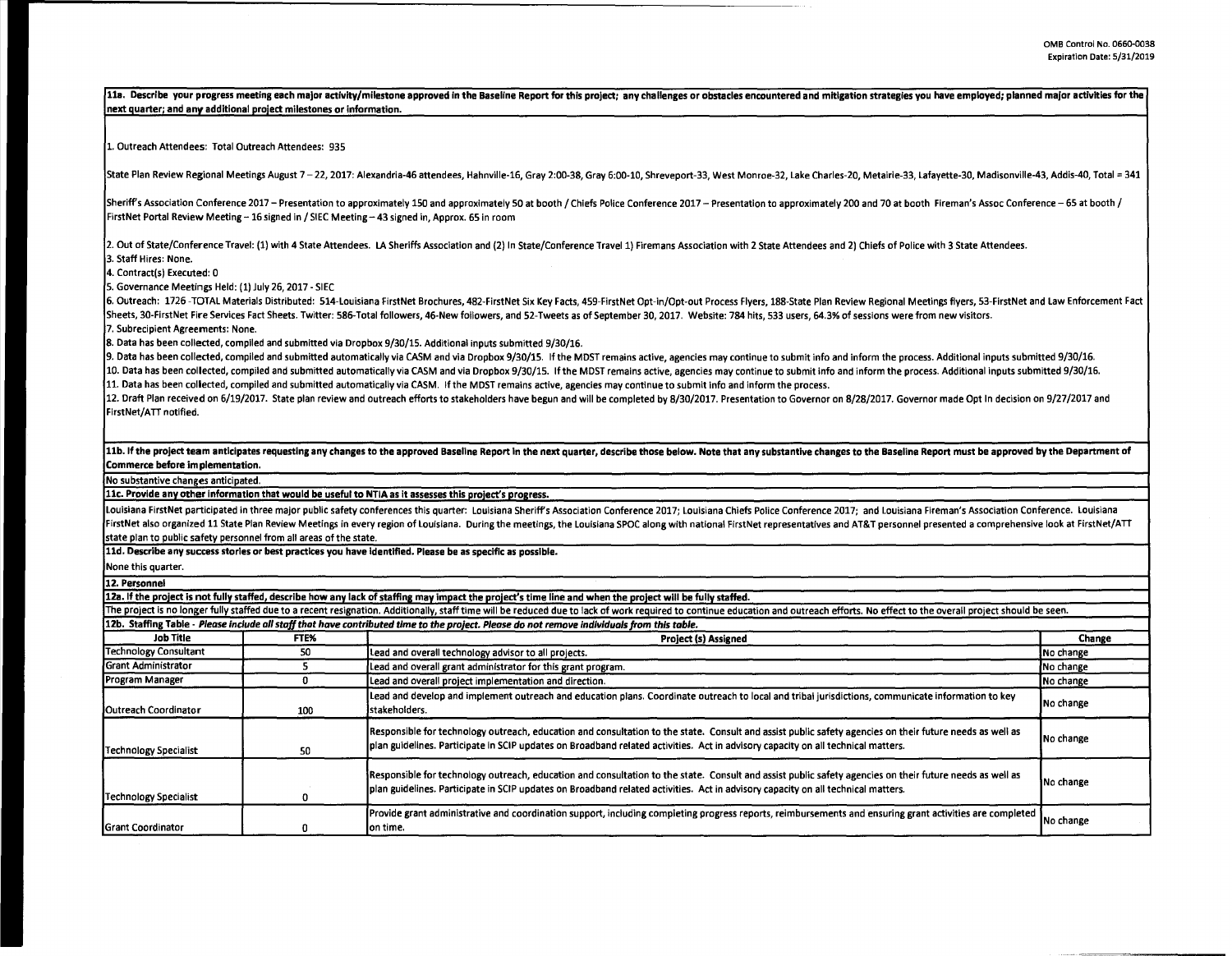11a. Describe your progress meeting each major activity/milestone approved in the Baseline Report for this project; any challenges or obstacles encountered and mitigation strategies you have employed; planned major activit **next auarter; and any additional project milestones or information.**  1. Outreach Attendees: Total Outreach Attendees: 935 State Plan Review Regional Meetings August 7 - 22, 2017: Alexandria-46 attendees, Hahnville-16, Gray 2:00-38, Gray 6:00-10, Shreveport-33, West Monroe-32, Lake Charles-20, Metairie-33, Lafavette-30, Madisonville-43, Addis-Sheriff's Association Conference 2017 - Presentation to approximately 150 and approximately 50 at booth / Chiefs Police Conference 2017 - Presentation to approximately 200 and 70 at booth Fireman's Assoc Conference -65 at FirstNet Portal Review Meeting - 16 signed in / SIEC Meeting - 43 signed in, Approx. 65 in room 2. Out of State/Conference Travel: (1) with 4 State Attendees. LA Sheriffs Association and (2) In State/Conference Travel 1) Firemans Association with 2 State Attendees and 2) Chiefs of Police with 3 State Attendees. 3. Staff Hires: None. 4. Contract(s) Executed: 0 5. Governance Meetings Held: (1) July 26, 2017 - SIEC 6. Outreach: 1726-TOTAL Materials Distributed: 514-Louisiana FirstNet Brochures, 482-FirstNet Six Key Facts, 459-FirstNet Opt-in/Opt-out Process Flyers, 188-State Plan Review Regional Meetings flyers, 53-FirstNet and Law E Sheets, 30-FirstNet Fire Services Fact Sheets. Twitter: 586-Total followers, 46-New followers, and 52-Tweets as of September 30, 2017. Website: 784 hits, 533 users, 64.3% of sessions were from new visitors. 7. Subrecipient Agreements: None. 8. Data has been collected, compiled and submitted via Dropbox 9/30/15. Additional inputs submitted 9/30/16. 9. Data has been collected, compiled and submitted automatically via CASM and via Dropbox 9/30/15. If the MOST remains active, agencies may continue to submit info and inform the process. Additional inputs submitted 9/30/16. 10. Data has been collected, compiled and submitted automatically via CASM and via Dropbox 9/30/15. If the MDST remains active, agencies may continue to submit info and inform the process. Additional inputs submitted 9/30/ 11. Data has been collected, compiled and submitted automatically via CASM. If the MOST remains active, agencies may continue to submit info and inform the process. 12. Draft Plan received on 6/19/2017. State plan review and outreach efforts to stakeholders have begun and will be completed by 8/30/2017. Presentation to Governor on 8/28/2017. Governor made Opt In decision on 9/27/2017 FirstNet/ATT notified. 11b. If the project team anticipates requesting any changes to the approved Baseline Report in the next quarter, describe those below. Note that any substantive changes to the Baseline Report must be approved by the Depart **Commerce before implementation.**  No substantive changes anticipated. **llc. Provide any other information that would be useful to NTIA as it assesses this uroiect's urouess.**  Louisiana FirstNet participated in three major public safety conferences this quarter: Louisiana Sheriff's Association Conference 2017; Louisiana Ghiefs Police Conference 2017; and Louisiana Fireman's Association Conferenc FirstNet also organized 11 State Plan Review Meetings in every region of Louisiana. During the meetings, the Louisiana SPOC along with national FirstNet representatives and AT&T personnel presented a comprehensive look at state plan to public safety personnel from all areas of the state. **lld. Describe any success stories or best practices you have Identified. Please be as specific as possible.**  None this quarter. **12. Personnel**  12a. If the project is not fully staffed, describe how any lack of staffing may impact the project's time line and when the project will be fully staffed. The project is no longer fully staffed due to a recent resignation. Additionally, staff time will be reduced due to lack of work required to continue education and outreach efforts. No effect to the overall project should 12b. Staffing Table - *Please include all staff that have contributed time* to *the project. Please da not* remove *individuals from this table.*  **Job Title FTE% Project (s) Assigned Chan11e**  Technology Consultant 50 Lead and overall technology advisor to all projects. Grant Administrator 5 Lead and overall grant administrator for this erant program. No change Program Manager 20 0 Lead and overall project implementation and direction. No change in the change of the change of the change of the change of the change of the change of the change of the change of the change of the cha Lead and develop and implement outreach and education plans. Coordinate outreach to local and tribal jurisdictions, communicate information to key No change (No change 100 stakeholders. Responsible for technology outreach, education and consultation to the state. Consult and assist public safety agencies on their future needs as well as No change Technology Specialist 50 plan guidelines. Participate in SCIP updates on Broadband related activities. Act in advisory capacity on all technical matters. Responsible for technology outreach, education and consultation to the state. Consult and assist public safety agencies on their future needs as well as No change Technology Specialist **1.0 plan guidelines. Participate in SCIP** updates on Broadband related activities. Act in advisory capacity on all technical matters. Provide grant administrative and coordination support, including completing progress reports, reimbursements and ensuring grant activities are completed No change (No change on time.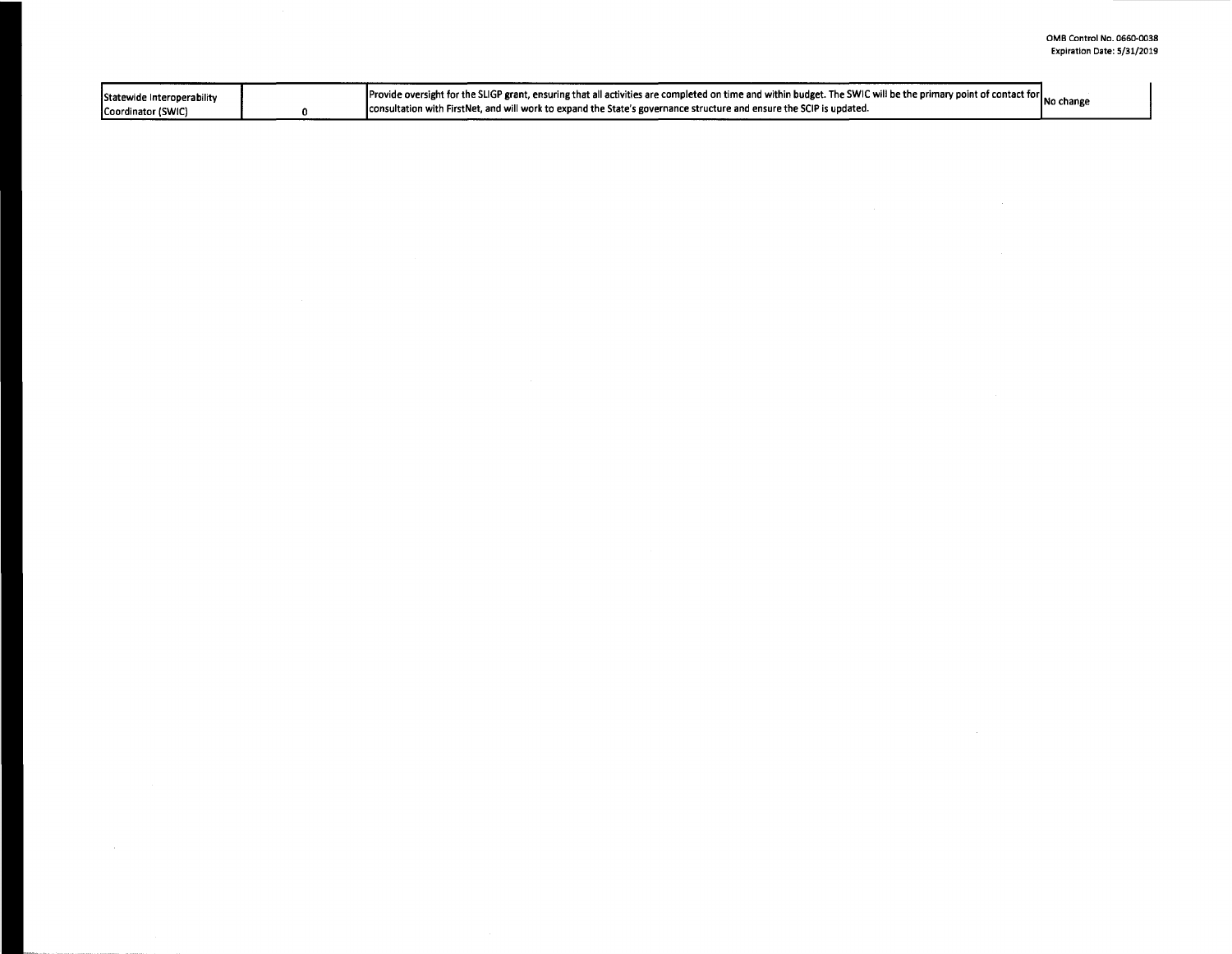| Statewide Interoperability<br>Coordinator (SWIC) | Provide oversight for the SLIGP grant, ensuring that all activities are completed on time and within budget. The SWIC will be the primary point of contact for No change<br>consultation with FirstNet, and will work to expand the State's governance structure and ensure the SCIP is updated. |  |
|--------------------------------------------------|--------------------------------------------------------------------------------------------------------------------------------------------------------------------------------------------------------------------------------------------------------------------------------------------------|--|